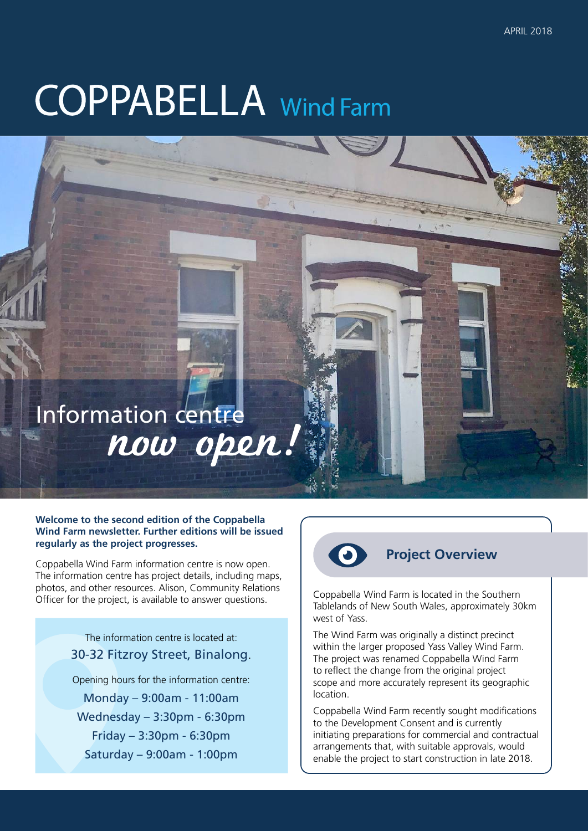# **COPPABELLA** Wind Farm

## Information centre now open!

#### **Welcome to the second edition of the Coppabella Wind Farm newsletter. Further editions will be issued regularly as the project progresses.**

Coppabella Wind Farm information centre is now open. The information centre has project details, including maps, photos, and other resources. Alison, Community Relations Officer for the project, is available to answer questions.

> The information centre is located at: 30-32 Fitzroy Street, Binalong. Opening hours for the information centre: Monday – 9:00am - 11:00am Wednesday – 3:30pm - 6:30pm Friday – 3:30pm - 6:30pm Saturday – 9:00am - 1:00pm



### **Project Overview**

Coppabella Wind Farm is located in the Southern Tablelands of New South Wales, approximately 30km west of Yass.

The Wind Farm was originally a distinct precinct within the larger proposed Yass Valley Wind Farm. The project was renamed Coppabella Wind Farm to reflect the change from the original project scope and more accurately represent its geographic location.

Coppabella Wind Farm recently sought modifications to the Development Consent and is currently initiating preparations for commercial and contractual arrangements that, with suitable approvals, would enable the project to start construction in late 2018.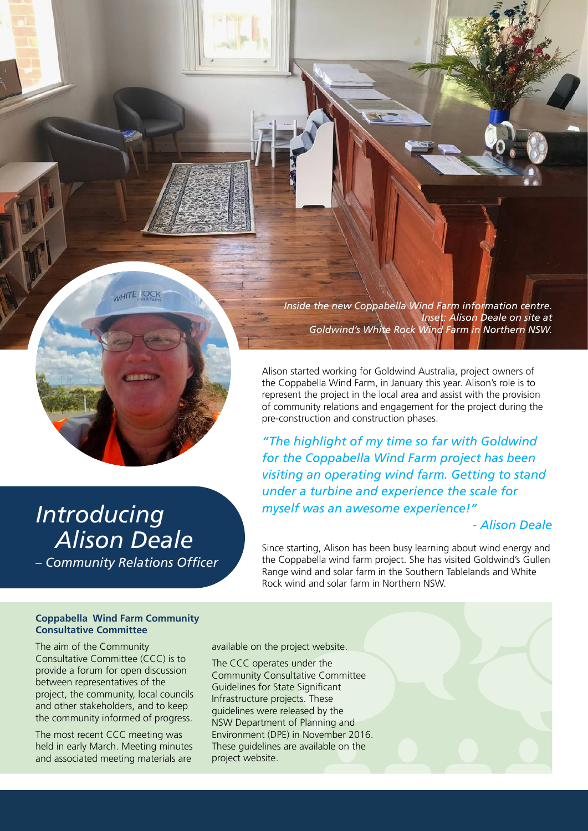

*Inside the new Coppabella Wind Farm information centre. Inset: Alison Deale on site at Goldwind's White Rock Wind Farm in Northern NSW.*

Alison started working for Goldwind Australia, project owners of the Coppabella Wind Farm, in January this year. Alison's role is to represent the project in the local area and assist with the provision of community relations and engagement for the project during the pre-construction and construction phases.

*"The highlight of my time so far with Goldwind for the Coppabella Wind Farm project has been visiting an operating wind farm. Getting to stand under a turbine and experience the scale for myself was an awesome experience!"* 

#### *- Alison Deale*

Since starting, Alison has been busy learning about wind energy and the Coppabella wind farm project. She has visited Goldwind's Gullen Range wind and solar farm in the Southern Tablelands and White Rock wind and solar farm in Northern NSW.

*Introducing Alison Deale – Community Relations Officer*

#### **Coppabella Wind Farm Community Consultative Committee**

The aim of the Community Consultative Committee (CCC) is to provide a forum for open discussion between representatives of the project, the community, local councils and other stakeholders, and to keep the community informed of progress.

The most recent CCC meeting was held in early March. Meeting minutes and associated meeting materials are

available on the project website.

The CCC operates under the Community Consultative Committee Guidelines for State Significant Infrastructure projects. These guidelines were released by the NSW Department of Planning and Environment (DPE) in November 2016. These guidelines are available on the project website.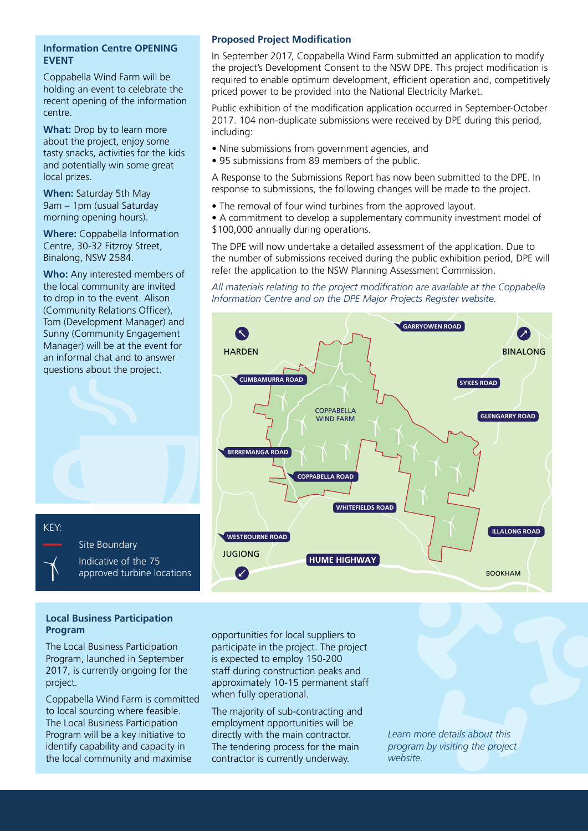#### **Information Centre OPENING EVENT**

Coppabella Wind Farm will be holding an event to celebrate the recent opening of the information centre.

**What:** Drop by to learn more about the project, enjoy some tasty snacks, activities for the kids and potentially win some great local prizes.

**When:** Saturday 5th May 9am – 1pm (usual Saturday morning opening hours).

**Where:** Coppabella Information Centre, 30-32 Fitzroy Street, Binalong, NSW 2584.

**Who:** Any interested members of the local community are invited to drop in to the event. Alison (Community Relations Officer), Tom (Development Manager) and Sunny (Community Engagement Manager) will be at the event for an informal chat and to answer questions about the project.

#### **Proposed Project Modification**

In September 2017, Coppabella Wind Farm submitted an application to modify the project's Development Consent to the NSW DPE. This project modification is required to enable optimum development, efficient operation and, competitively priced power to be provided into the National Electricity Market.

Public exhibition of the modification application occurred in September-October 2017. 104 non-duplicate submissions were received by DPE during this period, including:

- Nine submissions from government agencies, and
- 95 submissions from 89 members of the public.

A Response to the Submissions Report has now been submitted to the DPE. In response to submissions, the following changes will be made to the project.

- The removal of four wind turbines from the approved layout.
- A commitment to develop a supplementary community investment model of \$100,000 annually during operations.

The DPE will now undertake a detailed assessment of the application. Due to the number of submissions received during the public exhibition period, DPE will refer the application to the NSW Planning Assessment Commission.

*All materials relating to the project modification are available at the Coppabella Information Centre and on the DPE Major Projects Register website.* 



#### **Local Business Participation Program**

The Local Business Participation Program, launched in September 2017, is currently ongoing for the project.

Coppabella Wind Farm is committed to local sourcing where feasible. The Local Business Participation Program will be a key initiative to identify capability and capacity in the local community and maximise

opportunities for local suppliers to participate in the project. The project is expected to employ 150-200 staff during construction peaks and approximately 10-15 permanent staff when fully operational.

The majority of sub-contracting and employment opportunities will be directly with the main contractor. The tendering process for the main contractor is currently underway.

*Learn more details about this program by visiting the project website.*